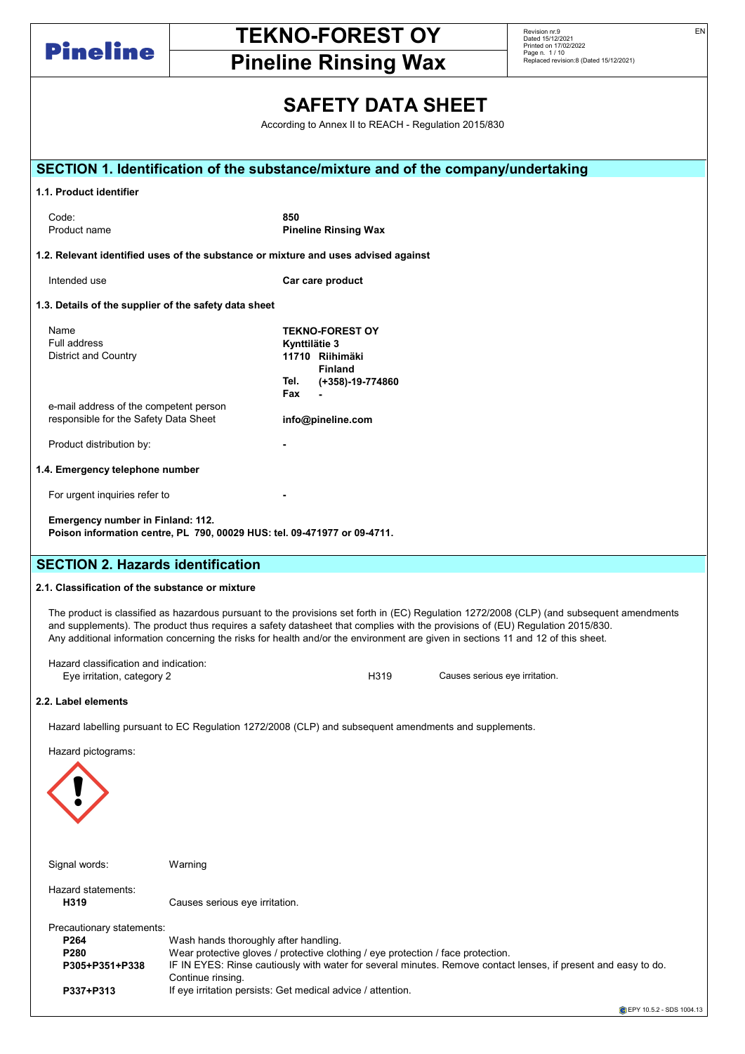

Pineline Rinsing Wax

Revision nr.9<br>Dated 15/12/2021<br>Printed on 17/02/2022<br>Page n. 1 / 10<br>Replaced revision:8 (Dated 15/12/2021)

## SAFETY DATA SHEET

According to Annex II to REACH - Regulation 2015/830  $\Delta$ ccording

| SECTION 1. Identification of the substance/mixture and of the company/undertaking  |                                       |                                                                                                                                                                                                                                                                                                                                                                                                                |  |  |  |  |  |  |  |
|------------------------------------------------------------------------------------|---------------------------------------|----------------------------------------------------------------------------------------------------------------------------------------------------------------------------------------------------------------------------------------------------------------------------------------------------------------------------------------------------------------------------------------------------------------|--|--|--|--|--|--|--|
| 1.1. Product identifier                                                            |                                       |                                                                                                                                                                                                                                                                                                                                                                                                                |  |  |  |  |  |  |  |
| Code:                                                                              |                                       | 850                                                                                                                                                                                                                                                                                                                                                                                                            |  |  |  |  |  |  |  |
| Product name                                                                       |                                       | <b>Pineline Rinsing Wax</b>                                                                                                                                                                                                                                                                                                                                                                                    |  |  |  |  |  |  |  |
| 1.2. Relevant identified uses of the substance or mixture and uses advised against |                                       |                                                                                                                                                                                                                                                                                                                                                                                                                |  |  |  |  |  |  |  |
| Intended use                                                                       | Car care product                      |                                                                                                                                                                                                                                                                                                                                                                                                                |  |  |  |  |  |  |  |
| 1.3. Details of the supplier of the safety data sheet                              |                                       |                                                                                                                                                                                                                                                                                                                                                                                                                |  |  |  |  |  |  |  |
| Name                                                                               |                                       | <b>TEKNO-FOREST OY</b>                                                                                                                                                                                                                                                                                                                                                                                         |  |  |  |  |  |  |  |
| Full address                                                                       |                                       | Kynttilätie 3                                                                                                                                                                                                                                                                                                                                                                                                  |  |  |  |  |  |  |  |
| <b>District and Country</b>                                                        |                                       | 11710 Riihimäki<br><b>Finland</b>                                                                                                                                                                                                                                                                                                                                                                              |  |  |  |  |  |  |  |
|                                                                                    |                                       | Tel.<br>(+358)-19-774860                                                                                                                                                                                                                                                                                                                                                                                       |  |  |  |  |  |  |  |
|                                                                                    |                                       | Fax                                                                                                                                                                                                                                                                                                                                                                                                            |  |  |  |  |  |  |  |
| e-mail address of the competent person<br>responsible for the Safety Data Sheet    |                                       | info@pineline.com                                                                                                                                                                                                                                                                                                                                                                                              |  |  |  |  |  |  |  |
| Product distribution by:                                                           |                                       |                                                                                                                                                                                                                                                                                                                                                                                                                |  |  |  |  |  |  |  |
| 1.4. Emergency telephone number                                                    |                                       |                                                                                                                                                                                                                                                                                                                                                                                                                |  |  |  |  |  |  |  |
| For urgent inquiries refer to                                                      |                                       |                                                                                                                                                                                                                                                                                                                                                                                                                |  |  |  |  |  |  |  |
| Emergency number in Finland: 112.                                                  |                                       | Poison information centre, PL 790, 00029 HUS: tel. 09-471977 or 09-4711.                                                                                                                                                                                                                                                                                                                                       |  |  |  |  |  |  |  |
| <b>SECTION 2. Hazards identification</b>                                           |                                       |                                                                                                                                                                                                                                                                                                                                                                                                                |  |  |  |  |  |  |  |
| 2.1. Classification of the substance or mixture                                    |                                       |                                                                                                                                                                                                                                                                                                                                                                                                                |  |  |  |  |  |  |  |
|                                                                                    |                                       | The product is classified as hazardous pursuant to the provisions set forth in (EC) Regulation 1272/2008 (CLP) (and subsequent amendments<br>and supplements). The product thus requires a safety datasheet that complies with the provisions of (EU) Regulation 2015/830.<br>Any additional information concerning the risks for health and/or the environment are given in sections 11 and 12 of this sheet. |  |  |  |  |  |  |  |
| Hazard classification and indication:<br>Eye irritation, category 2                |                                       | H319<br>Causes serious eye irritation.                                                                                                                                                                                                                                                                                                                                                                         |  |  |  |  |  |  |  |
| 2.2. Label elements                                                                |                                       |                                                                                                                                                                                                                                                                                                                                                                                                                |  |  |  |  |  |  |  |
|                                                                                    |                                       | Hazard labelling pursuant to EC Regulation 1272/2008 (CLP) and subsequent amendments and supplements.                                                                                                                                                                                                                                                                                                          |  |  |  |  |  |  |  |
| Hazard pictograms:                                                                 |                                       |                                                                                                                                                                                                                                                                                                                                                                                                                |  |  |  |  |  |  |  |
|                                                                                    |                                       |                                                                                                                                                                                                                                                                                                                                                                                                                |  |  |  |  |  |  |  |
| Signal words:                                                                      | Warning                               |                                                                                                                                                                                                                                                                                                                                                                                                                |  |  |  |  |  |  |  |
| Hazard statements:<br>H319                                                         | Causes serious eye irritation.        |                                                                                                                                                                                                                                                                                                                                                                                                                |  |  |  |  |  |  |  |
| Precautionary statements:                                                          |                                       |                                                                                                                                                                                                                                                                                                                                                                                                                |  |  |  |  |  |  |  |
| P264                                                                               | Wash hands thoroughly after handling. |                                                                                                                                                                                                                                                                                                                                                                                                                |  |  |  |  |  |  |  |
| P280<br>P305+P351+P338                                                             |                                       | Wear protective gloves / protective clothing / eye protection / face protection.                                                                                                                                                                                                                                                                                                                               |  |  |  |  |  |  |  |
|                                                                                    | Continue rinsing.                     | IF IN EYES: Rinse cautiously with water for several minutes. Remove contact lenses, if present and easy to do.                                                                                                                                                                                                                                                                                                 |  |  |  |  |  |  |  |
| P337+P313                                                                          |                                       | If eye irritation persists: Get medical advice / attention.                                                                                                                                                                                                                                                                                                                                                    |  |  |  |  |  |  |  |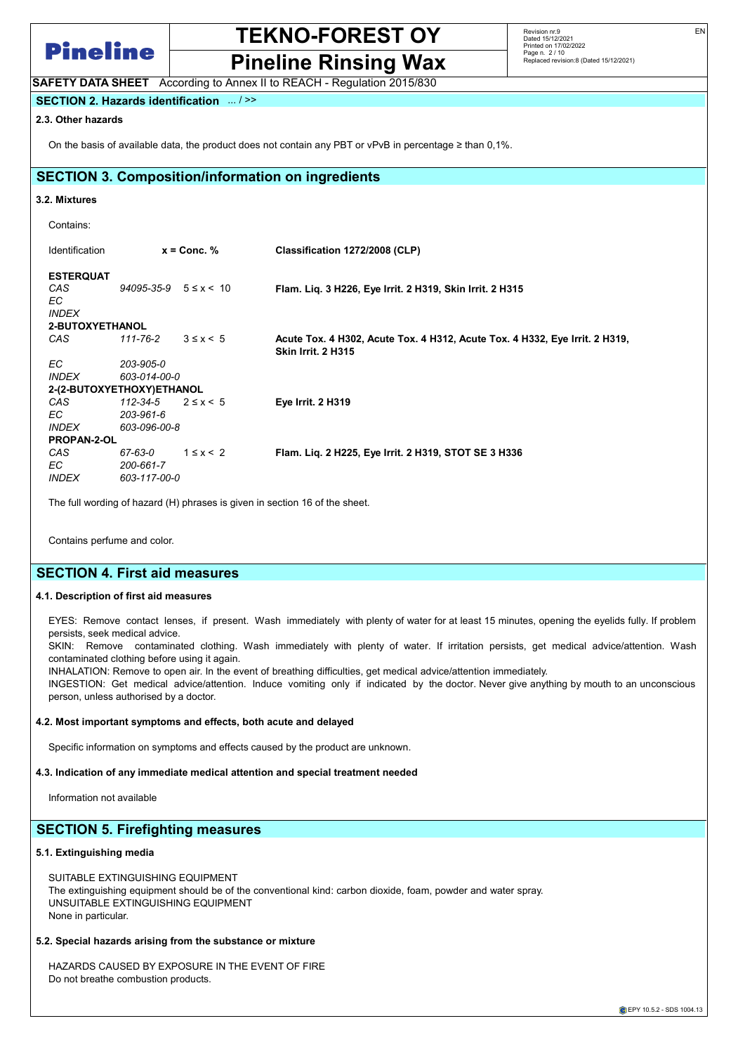

Pineline Rinsing Wax SAFETY DATA SHEET According to Annex II to REACH - Regulation 2015/830

EN

SECTION 2. Hazards identification ... / >>

## 2.3. Other hazards

On the basis of available data, the product does not contain any PBT or vPvB in percentage ≥ than 0,1%.

## SECTION 3. Composition/information on ingredients

### 3.2. Mixtures

| Identification                                 | $x =$ Conc. $%$                 |                   | Classification 1272/2008 (CLP)                                                                           |  |  |  |  |
|------------------------------------------------|---------------------------------|-------------------|----------------------------------------------------------------------------------------------------------|--|--|--|--|
| <b>ESTERQUAT</b><br>CAS<br>EC.<br><b>INDEX</b> | $94095 - 35 - 9$ $5 \le x < 10$ |                   | Flam. Lig. 3 H226, Eye Irrit. 2 H319, Skin Irrit. 2 H315                                                 |  |  |  |  |
| 2-BUTOXYETHANOL                                |                                 |                   |                                                                                                          |  |  |  |  |
| CAS                                            | $111 - 76 - 2$                  | $3 \leq x \leq 5$ | Acute Tox. 4 H302, Acute Tox. 4 H312, Acute Tox. 4 H332, Eye Irrit. 2 H319,<br><b>Skin Irrit. 2 H315</b> |  |  |  |  |
| EC.                                            | 203-905-0                       |                   |                                                                                                          |  |  |  |  |
| <i><b>INDEX</b></i>                            | 603-014-00-0                    |                   |                                                                                                          |  |  |  |  |
| 2-(2-BUTOXYETHOXY)ETHANOL                      |                                 |                   |                                                                                                          |  |  |  |  |
| CAS                                            | 112-34-5                        | $2 \leq x \leq 5$ | <b>Eye Irrit. 2 H319</b>                                                                                 |  |  |  |  |
| EC.                                            | 203-961-6                       |                   |                                                                                                          |  |  |  |  |
| <b>INDEX</b>                                   | 603-096-00-8                    |                   |                                                                                                          |  |  |  |  |
| <b>PROPAN-2-OL</b>                             |                                 |                   |                                                                                                          |  |  |  |  |
| CAS                                            | 67-63-0                         | $1 \leq x < 2$    | Flam. Lig. 2 H225, Eye Irrit. 2 H319, STOT SE 3 H336                                                     |  |  |  |  |
| EC.                                            | 200-661-7                       |                   |                                                                                                          |  |  |  |  |
| <b>INDEX</b>                                   | 603-117-00-0                    |                   |                                                                                                          |  |  |  |  |

The full wording of hazard (H) phrases is given in section 16 of the sheet.

Contains perfume and color.

## SECTION 4. First aid measures

### 4.1. Description of first aid measures

EYES: Remove contact lenses, if present. Wash immediately with plenty of water for at least 15 minutes, opening the eyelids fully. If problem persists, seek medical advice.

SKIN: Remove contaminated clothing. Wash immediately with plenty of water. If irritation persists, get medical advice/attention. Wash contaminated clothing before using it again.

INHALATION: Remove to open air. In the event of breathing difficulties, get medical advice/attention immediately.

INGESTION: Get medical advice/attention. Induce vomiting only if indicated by the doctor. Never give anything by mouth to an unconscious person, unless authorised by a doctor.

### 4.2. Most important symptoms and effects, both acute and delayed

Specific information on symptoms and effects caused by the product are unknown.

## 4.3. Indication of any immediate medical attention and special treatment needed

Information not available

## SECTION 5. Firefighting measures

### 5.1. Extinguishing media

SUITABLE EXTINGUISHING EQUIPMENT The extinguishing equipment should be of the conventional kind: carbon dioxide, foam, powder and water spray. UNSUITABLE EXTINGUISHING EQUIPMENT None in particular.

## 5.2. Special hazards arising from the substance or mixture

HAZARDS CAUSED BY EXPOSURE IN THE EVENT OF FIRE Do not breathe combustion products.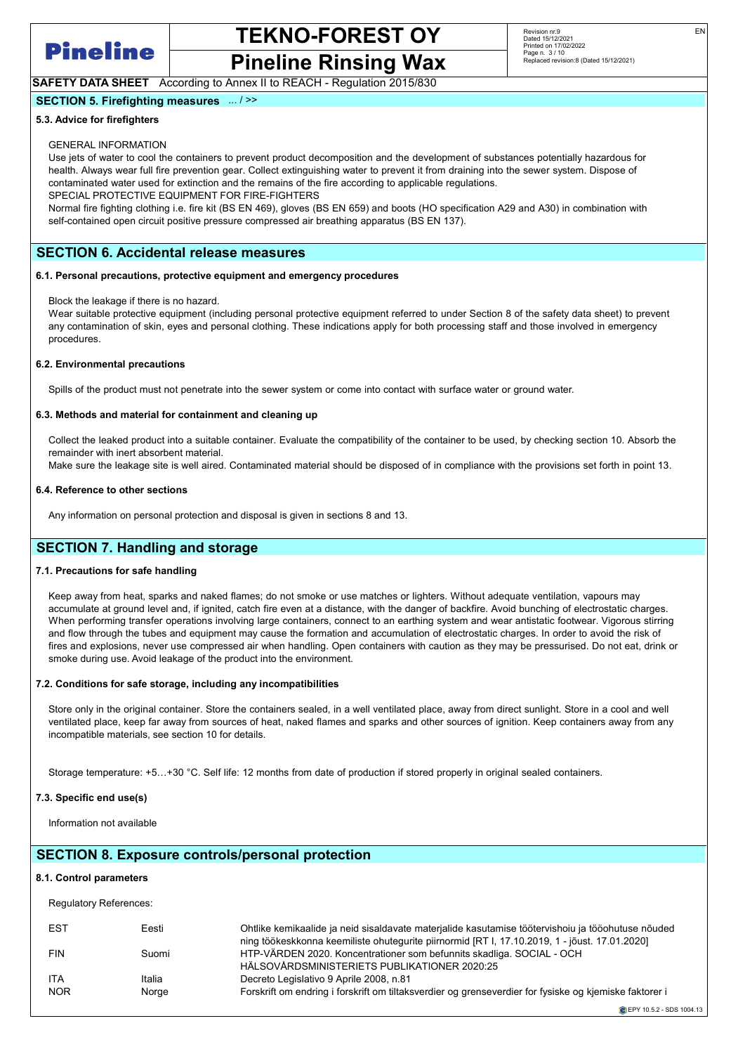

## Pineline Rinsing Wax

## SAFETY DATA SHEET According to Annex II to REACH - Regulation 2015/830

## SECTION 5. Firefighting measures ... / >>

## 5.3. Advice for firefighters

## GENERAL INFORMATION

Use jets of water to cool the containers to prevent product decomposition and the development of substances potentially hazardous for health. Always wear full fire prevention gear. Collect extinguishing water to prevent it from draining into the sewer system. Dispose of contaminated water used for extinction and the remains of the fire according to applicable regulations. SPECIAL PROTECTIVE EQUIPMENT FOR FIRE-FIGHTERS

Normal fire fighting clothing i.e. fire kit (BS EN 469), gloves (BS EN 659) and boots (HO specification A29 and A30) in combination with self-contained open circuit positive pressure compressed air breathing apparatus (BS EN 137).

## SECTION 6. Accidental release measures

#### 6.1. Personal precautions, protective equipment and emergency procedures

Block the leakage if there is no hazard.

Wear suitable protective equipment (including personal protective equipment referred to under Section 8 of the safety data sheet) to prevent any contamination of skin, eyes and personal clothing. These indications apply for both processing staff and those involved in emergency procedures.

### 6.2. Environmental precautions

Spills of the product must not penetrate into the sewer system or come into contact with surface water or ground water.

### 6.3. Methods and material for containment and cleaning up

Collect the leaked product into a suitable container. Evaluate the compatibility of the container to be used, by checking section 10. Absorb the remainder with inert absorbent material.

Make sure the leakage site is well aired. Contaminated material should be disposed of in compliance with the provisions set forth in point 13.

### 6.4. Reference to other sections

Any information on personal protection and disposal is given in sections 8 and 13.

## SECTION 7. Handling and storage

### 7.1. Precautions for safe handling

Keep away from heat, sparks and naked flames; do not smoke or use matches or lighters. Without adequate ventilation, vapours may accumulate at ground level and, if ignited, catch fire even at a distance, with the danger of backfire. Avoid bunching of electrostatic charges. When performing transfer operations involving large containers, connect to an earthing system and wear antistatic footwear. Vigorous stirring and flow through the tubes and equipment may cause the formation and accumulation of electrostatic charges. In order to avoid the risk of fires and explosions, never use compressed air when handling. Open containers with caution as they may be pressurised. Do not eat, drink or smoke during use. Avoid leakage of the product into the environment.

### 7.2. Conditions for safe storage, including any incompatibilities

Store only in the original container. Store the containers sealed, in a well ventilated place, away from direct sunlight. Store in a cool and well ventilated place, keep far away from sources of heat, naked flames and sparks and other sources of ignition. Keep containers away from any incompatible materials, see section 10 for details.

Storage temperature: +5…+30 °C. Self life: 12 months from date of production if stored properly in original sealed containers.

## 7.3. Specific end use(s)

Information not available

## SECTION 8. Exposure controls/personal protection 8.1. Control parameters Regulatory References: EST Eesti Ohtlike kemikaalide ja neid sisaldavate materjalide kasutamise töötervishoiu ja tööohutuse nõuded ning töökeskkonna keemiliste ohutegurite piirnormid [RT I, 17.10.2019, 1 - jõust. 17.01.2020]

FIN Suomi HTP-VÄRDEN 2020. Koncentrationer som befunnits skadliga. SOCIAL - OCH HÄLSOVÅRDSMINISTERIETS PUBLIKATIONER 2020:25 ITA Italia Italia Decreto Legislativo 9 Aprile 2008, n.81<br>Italia Italia Decreto Legislativo 9 Aprile 2008, n.81 Forskrift om endring i forskrift om tiltaksverdier og grenseverdier for fysiske og kjemiske faktorer i

**C** EPY 10.5.2 - SDS 1004 13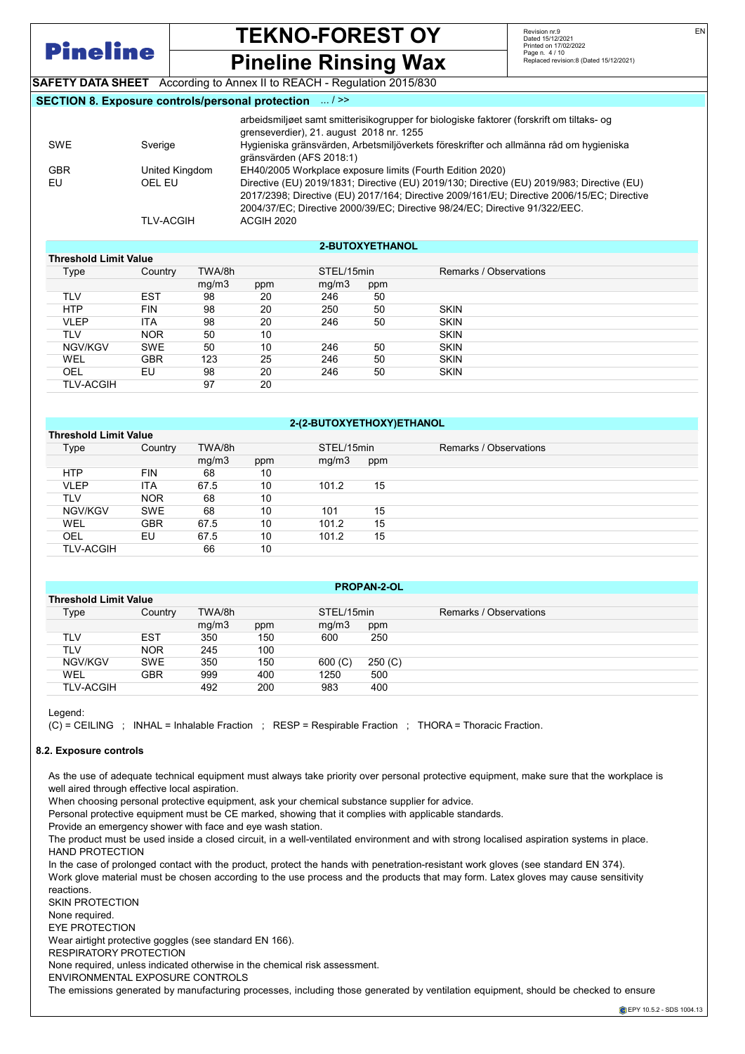

Threshold Limit Value

## TEKNO-FOREST OY

Revision nr.9 Dated 15/12/2021 Printed on 17/02/2022 Page n. 4 / 10 Replaced revision:8 (Dated 15/12/2021)

Pineline Rinsing Wax SAFETY DATA SHEET According to Annex II to REACH - Regulation 2015/830

## SECTION 8. Exposure controls/personal protection ... / >>

| <b>SWE</b> | Sverige          | arbeidsmiljøet samt smitterisikogrupper for biologiske faktorer (forskrift om tiltaks- og<br>grenseverdier), 21. august 2018 nr. 1255<br>Hygieniska gränsvärden, Arbetsmiljöverkets föreskrifter och allmänna råd om hygieniska<br>gränsvärden (AFS 2018:1)             |
|------------|------------------|-------------------------------------------------------------------------------------------------------------------------------------------------------------------------------------------------------------------------------------------------------------------------|
|            |                  |                                                                                                                                                                                                                                                                         |
| <b>GBR</b> | United Kingdom   | EH40/2005 Workplace exposure limits (Fourth Edition 2020)                                                                                                                                                                                                               |
| EU         | OEL EU           | Directive (EU) 2019/1831; Directive (EU) 2019/130; Directive (EU) 2019/983; Directive (EU)<br>2017/2398; Directive (EU) 2017/164; Directive 2009/161/EU; Directive 2006/15/EC; Directive<br>2004/37/EC; Directive 2000/39/EC; Directive 98/24/EC; Directive 91/322/EEC. |
|            | <b>TLV-ACGIH</b> | ACGIH 2020                                                                                                                                                                                                                                                              |

|  | <b>2-BUTOXYETHANOL</b> |  |  |
|--|------------------------|--|--|
|--|------------------------|--|--|

| Threshold Limit value |            |        |     |            |     |                        |  |
|-----------------------|------------|--------|-----|------------|-----|------------------------|--|
| Type                  | Country    | TWA/8h |     | STEL/15min |     | Remarks / Observations |  |
|                       |            | mq/m3  | ppm | mg/m3      | ppm |                        |  |
| TLV                   | <b>EST</b> | 98     | 20  | 246        | 50  |                        |  |
| <b>HTP</b>            | <b>FIN</b> | 98     | 20  | 250        | 50  | <b>SKIN</b>            |  |
| VLEP                  | <b>ITA</b> | 98     | 20  | 246        | 50  | <b>SKIN</b>            |  |
| TLV                   | <b>NOR</b> | 50     | 10  |            |     | <b>SKIN</b>            |  |
| NGV/KGV               | <b>SWE</b> | 50     | 10  | 246        | 50  | <b>SKIN</b>            |  |
| <b>WEL</b>            | <b>GBR</b> | 123    | 25  | 246        | 50  | <b>SKIN</b>            |  |
| OEL                   | EU         | 98     | 20  | 246        | 50  | <b>SKIN</b>            |  |
| <b>TLV-ACGIH</b>      |            | 97     | 20  |            |     |                        |  |
|                       |            |        |     |            |     |                        |  |

## 2-(2-BUTOXYETHOXY)ETHANOL

|                              | ____________________________ |        |     |            |     |                        |  |  |
|------------------------------|------------------------------|--------|-----|------------|-----|------------------------|--|--|
| <b>Threshold Limit Value</b> |                              |        |     |            |     |                        |  |  |
| Type                         | Country                      | TWA/8h |     | STEL/15min |     | Remarks / Observations |  |  |
|                              |                              | mg/m3  | ppm | mq/m3      | ppm |                        |  |  |
| <b>HTP</b>                   | <b>FIN</b>                   | 68     | 10  |            |     |                        |  |  |
| <b>VLEP</b>                  | ITA                          | 67.5   | 10  | 101.2      | 15  |                        |  |  |
| TLV                          | <b>NOR</b>                   | 68     | 10  |            |     |                        |  |  |
| NGV/KGV                      | <b>SWE</b>                   | 68     | 10  | 101        | 15  |                        |  |  |
| <b>WEL</b>                   | <b>GBR</b>                   | 67.5   | 10  | 101.2      | 15  |                        |  |  |
| OEL                          | EU                           | 67.5   | 10  | 101.2      | 15  |                        |  |  |
| <b>TLV-ACGIH</b>             |                              | 66     | 10  |            |     |                        |  |  |
|                              |                              |        |     |            |     |                        |  |  |

| <b>PROPAN-2-OL</b>           |            |        |     |            |         |                        |  |  |
|------------------------------|------------|--------|-----|------------|---------|------------------------|--|--|
| <b>Threshold Limit Value</b> |            |        |     |            |         |                        |  |  |
| Type                         | Country    | TWA/8h |     | STEL/15min |         | Remarks / Observations |  |  |
|                              |            | mq/m3  | ppm | mq/m3      | ppm     |                        |  |  |
| TLV                          | <b>EST</b> | 350    | 150 | 600        | 250     |                        |  |  |
| <b>TLV</b>                   | <b>NOR</b> | 245    | 100 |            |         |                        |  |  |
| NGV/KGV                      | <b>SWE</b> | 350    | 150 | 600 (C)    | 250 (C) |                        |  |  |
| WEL                          | <b>GBR</b> | 999    | 400 | 1250       | 500     |                        |  |  |
| <b>TLV-ACGIH</b>             |            | 492    | 200 | 983        | 400     |                        |  |  |
|                              |            |        |     |            |         |                        |  |  |

Legend:

(C) = CEILING ; INHAL = Inhalable Fraction ; RESP = Respirable Fraction ; THORA = Thoracic Fraction.

## 8.2. Exposure controls

As the use of adequate technical equipment must always take priority over personal protective equipment, make sure that the workplace is well aired through effective local aspiration.

When choosing personal protective equipment, ask your chemical substance supplier for advice.

Personal protective equipment must be CE marked, showing that it complies with applicable standards.

Provide an emergency shower with face and eye wash station.

The product must be used inside a closed circuit, in a well-ventilated environment and with strong localised aspiration systems in place. HAND PROTECTION

In the case of prolonged contact with the product, protect the hands with penetration-resistant work gloves (see standard EN 374). Work glove material must be chosen according to the use process and the products that may form. Latex gloves may cause sensitivity reactions.

SKIN PROTECTION

None required.

EYE PROTECTION

Wear airtight protective goggles (see standard EN 166).

RESPIRATORY PROTECTION

None required, unless indicated otherwise in the chemical risk assessment.

ENVIRONMENTAL EXPOSURE CONTROLS

The emissions generated by manufacturing processes, including those generated by ventilation equipment, should be checked to ensure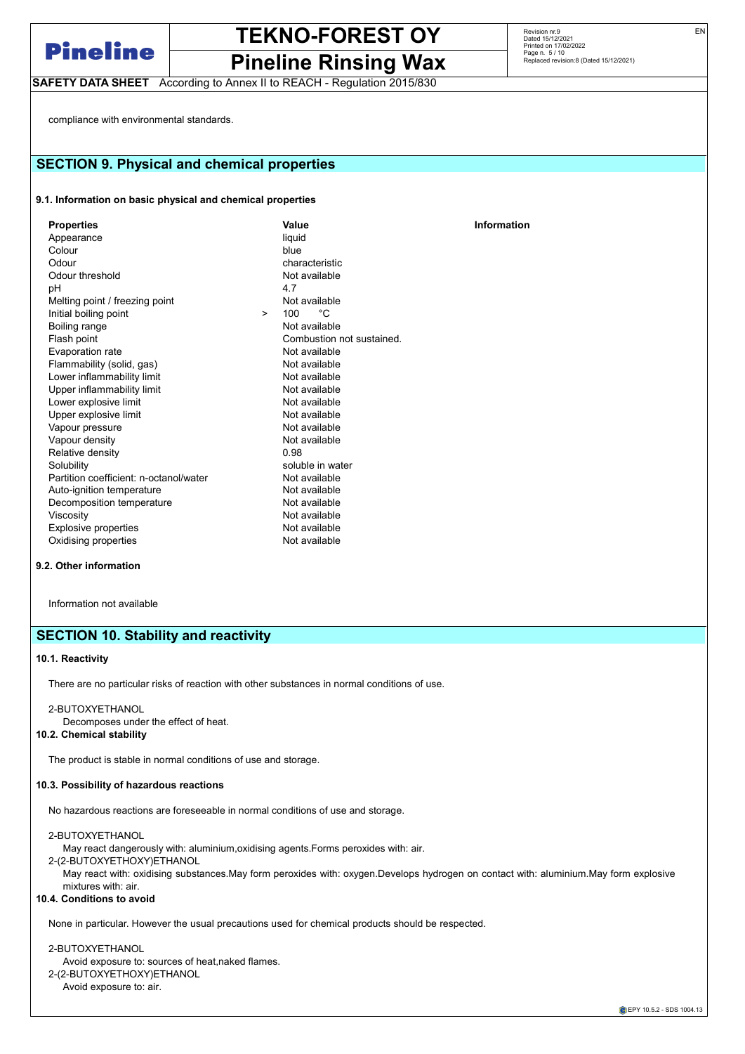

Pineline Rinsing Wax

SAFETY DATA SHEET According to Annex II to REACH - Regulation 2015/830

Revision nr.9 Dated 15/12/2021 Printed on 17/02/2022 Page n. 5 / 10 Replaced revision:8 (Dated 15/12/2021)

**Information** 

compliance with environmental standards.

## SECTION 9. Physical and chemical properties

## 9.1. Information on basic physical and chemical properties

| <b>Properties</b>                      |        | Value                    |
|----------------------------------------|--------|--------------------------|
| Appearance                             |        | liquid                   |
| Colour                                 |        | blue                     |
| Odour                                  |        | characteristic           |
| Odour threshold                        |        | Not available            |
| pH                                     |        | 4.7                      |
| Melting point / freezing point         |        | Not available            |
| Initial boiling point                  | $\geq$ | ∙°€<br>100               |
| Boiling range                          |        | Not available            |
| Flash point                            |        | Combustion not sustained |
| Evaporation rate                       |        | Not available            |
| Flammability (solid, gas)              |        | Not available            |
| Lower inflammability limit             |        | Not available            |
| Upper inflammability limit             |        | Not available            |
| Lower explosive limit                  |        | Not available            |
| Upper explosive limit                  |        | Not available            |
| Vapour pressure                        |        | Not available            |
| Vapour density                         |        | Not available            |
| Relative density                       |        | 0.98                     |
| Solubility                             |        | soluble in water         |
| Partition coefficient: n-octanol/water |        | Not available            |
| Auto-ignition temperature              |        | Not available            |
| Decomposition temperature              |        | Not available            |
| Viscosity                              |        | Not available            |
| <b>Explosive properties</b>            |        | Not available            |
| Oxidising properties                   |        | Not available            |
|                                        |        |                          |

## 9.2. Other information

Information not available

## SECTION 10. Stability and reactivity

#### 10.1. Reactivity

There are no particular risks of reaction with other substances in normal conditions of use.

2-BUTOXYETHANOL

Decomposes under the effect of heat.

## 10.2. Chemical stability

The product is stable in normal conditions of use and storage.

### 10.3. Possibility of hazardous reactions

No hazardous reactions are foreseeable in normal conditions of use and storage.

2-BUTOXYETHANOL

May react dangerously with: aluminium,oxidising agents.Forms peroxides with: air.

2-(2-BUTOXYETHOXY)ETHANOL

May react with: oxidising substances.May form peroxides with: oxygen.Develops hydrogen on contact with: aluminium.May form explosive mixtures with: air.

## 10.4. Conditions to avoid

None in particular. However the usual precautions used for chemical products should be respected.

### 2-BUTOXYETHANOL

Avoid exposure to: sources of heat,naked flames.

2-(2-BUTOXYETHOXY)ETHANOL

Avoid exposure to: air.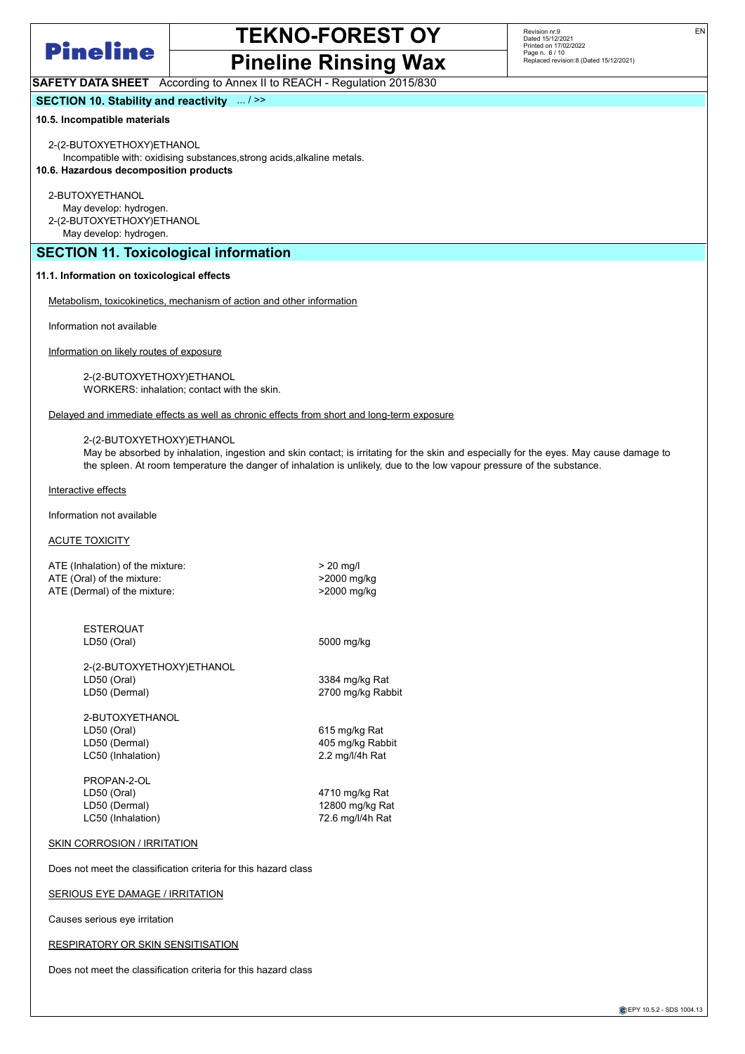

# Pineline Rinsing Wax

Revision nr.9 Dated 15/12/2021 Printed on 17/02/2022 Page n. 6 / 10 Replaced revision:8 (Dated 15/12/2021)

EN

SAFETY DATA SHEET According to Annex II to REACH - Regulation 2015/830

## SECTION 10. Stability and reactivity ... / >>

#### 10.5. Incompatible materials

2-(2-BUTOXYETHOXY)ETHANOL

Incompatible with: oxidising substances,strong acids,alkaline metals. 10.6. Hazardous decomposition products

2-BUTOXYETHANOL

May develop: hydrogen.

2-(2-BUTOXYETHOXY)ETHANOL

May develop: hydrogen.

## SECTION 11. Toxicological information

### 11.1. Information on toxicological effects

Metabolism, toxicokinetics, mechanism of action and other information

Information not available

Information on likely routes of exposure

2-(2-BUTOXYETHOXY)ETHANOL WORKERS: inhalation; contact with the skin.

Delayed and immediate effects as well as chronic effects from short and long-term exposure

#### 2-(2-BUTOXYETHOXY)ETHANOL

May be absorbed by inhalation, ingestion and skin contact; is irritating for the skin and especially for the eyes. May cause damage to the spleen. At room temperature the danger of inhalation is unlikely, due to the low vapour pressure of the substance.

Interactive effects

Information not available

## **ACUTE TOXICITY**

| ATE (Inhalation) of the mixture: | $>$ 20 ma/l |
|----------------------------------|-------------|
| ATE (Oral) of the mixture:       | >2000 mg/kg |
| ATE (Dermal) of the mixture:     | >2000 mg/kg |
|                                  |             |

ESTERQUAT LD50 (Oral) 5000 mg/kg

2-(2-BUTOXYETHOXY)ETHANOL LD50 (Oral) 3384 mg/kg Rat LD50 (Dermal) 2700 mg/kg Rabbit

2-BUTOXYETHANOL LD50 (Oral) 615 mg/kg Rat LD50 (Dermal) 405 mg/kg Rabbit LC50 (Inhalation) 2.2 mg/l/4h Rat

PROPAN-2-OL LD50 (Oral) 4710 mg/kg Rat LD50 (Dermal) 12800 mg/kg Rat LC50 (Inhalation) 72.6 mg/l/4h Rat

### SKIN CORROSION / IRRITATION

Does not meet the classification criteria for this hazard class

## SERIOUS EYE DAMAGE / IRRITATION

Causes serious eye irritation

### RESPIRATORY OR SKIN SENSITISATION

Does not meet the classification criteria for this hazard class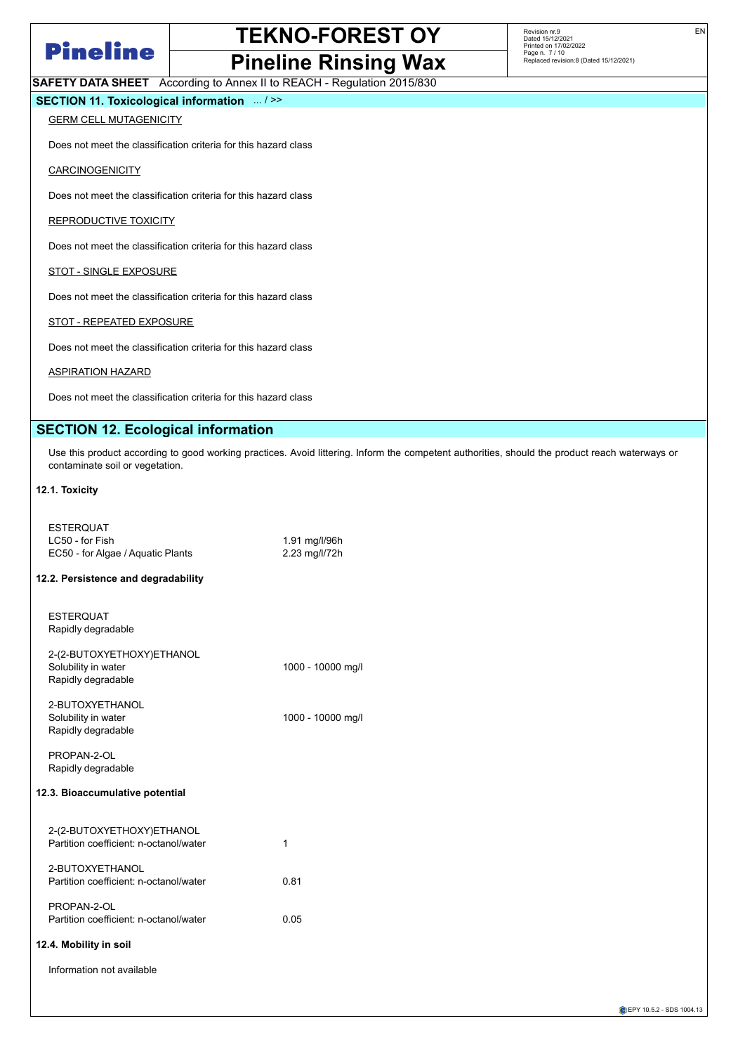

## Pineline Rinsing Wax SAFETY DATA SHEET According to Annex II to REACH - Regulation 2015/830

Revision nr.9 Dated 15/12/2021 Printed on 17/02/2022 Page n. 7 / 10 Replaced revision:8 (Dated 15/12/2021)

EN

SECTION 11. Toxicological information ... / >>

## **GERM CELL MUTAGENICITY**

Does not meet the classification criteria for this hazard class

## **CARCINOGENICITY**

Does not meet the classification criteria for this hazard class

REPRODUCTIVE TOXICITY

Does not meet the classification criteria for this hazard class

## STOT - SINGLE EXPOSURE

Does not meet the classification criteria for this hazard class

## STOT - REPEATED EXPOSURE

Does not meet the classification criteria for this hazard class

### ASPIRATION HAZARD

Does not meet the classification criteria for this hazard class

## SECTION 12. Ecological information

Use this product according to good working practices. Avoid littering. Inform the competent authorities, should the product reach waterways or contaminate soil or vegetation.

## 12.1. Toxicity

| <b>ESTERQUAT</b><br>LC50 - for Fish<br>EC50 - for Algae / Aquatic Plants | 1.91 mg/l/96h<br>2.23 mg/l/72h |
|--------------------------------------------------------------------------|--------------------------------|
| 12.2. Persistence and degradability                                      |                                |
| <b>ESTERQUAT</b><br>Rapidly degradable                                   |                                |
| 2-(2-BUTOXYETHOXY)ETHANOL<br>Solubility in water<br>Rapidly degradable   | 1000 - 10000 mg/l              |
| 2-BUTOXYETHANOL<br>Solubility in water<br>Rapidly degradable             | 1000 - 10000 mg/l              |
| PROPAN-2-OL<br>Rapidly degradable                                        |                                |
| 12.3. Bioaccumulative potential                                          |                                |
| 2-(2-BUTOXYETHOXY)ETHANOL<br>Partition coefficient: n-octanol/water      | 1                              |
| 2-BUTOXYETHANOL<br>Partition coefficient: n-octanol/water                | 0.81                           |
| PROPAN-2-OL<br>Partition coefficient: n-octanol/water                    | 0.05                           |
| 12.4. Mobility in soil                                                   |                                |
| Information not available                                                |                                |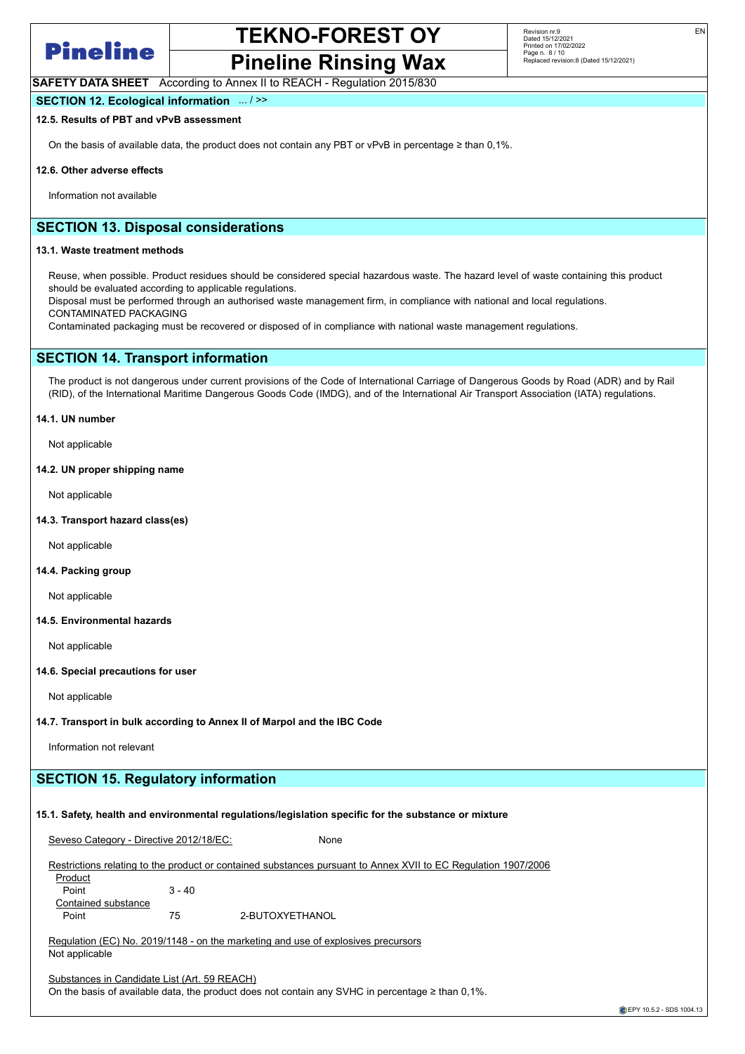

## TEKNO-FOREST OY Pineline Rinsing Wax

EN

SAFETY DATA SHEET According to Annex II to REACH - Regulation 2015/830

## SECTION 12. Ecological information ... / >>

12.5. Results of PBT and vPvB assessment

On the basis of available data, the product does not contain any PBT or vPvB in percentage ≥ than 0,1%.

#### 12.6. Other adverse effects

Information not available

## SECTION 13. Disposal considerations

#### 13.1. Waste treatment methods

Reuse, when possible. Product residues should be considered special hazardous waste. The hazard level of waste containing this product should be evaluated according to applicable regulations.

Disposal must be performed through an authorised waste management firm, in compliance with national and local regulations. CONTAMINATED PACKAGING

Contaminated packaging must be recovered or disposed of in compliance with national waste management regulations.

## SECTION 14. Transport information

The product is not dangerous under current provisions of the Code of International Carriage of Dangerous Goods by Road (ADR) and by Rail (RID), of the International Maritime Dangerous Goods Code (IMDG), and of the International Air Transport Association (IATA) regulations.

### 14.1. UN number

Not applicable

#### 14.2. UN proper shipping name

Not applicable

14.3. Transport hazard class(es)

Not applicable

### 14.4. Packing group

Not applicable

### 14.5. Environmental hazards

Not applicable

### 14.6. Special precautions for user

Not applicable

## 14.7. Transport in bulk according to Annex II of Marpol and the IBC Code

Information not relevant

## SECTION 15. Regulatory information

## 15.1. Safety, health and environmental regulations/legislation specific for the substance or mixture

Seveso Category - Directive 2012/18/EC: None

|  | Restrictions relating to the product or contained substances pursuant to Annex XVII to EC Regulation 1907/2006 |  |  |
|--|----------------------------------------------------------------------------------------------------------------|--|--|
|  |                                                                                                                |  |  |

**Product** Point 3 - 40 Contained substance Point 75 2-BUTOXYETHANOL

Regulation (EC) No. 2019/1148 - on the marketing and use of explosives precursors Not applicable

Substances in Candidate List (Art. 59 REACH)

On the basis of available data, the product does not contain any SVHC in percentage ≥ than 0,1%.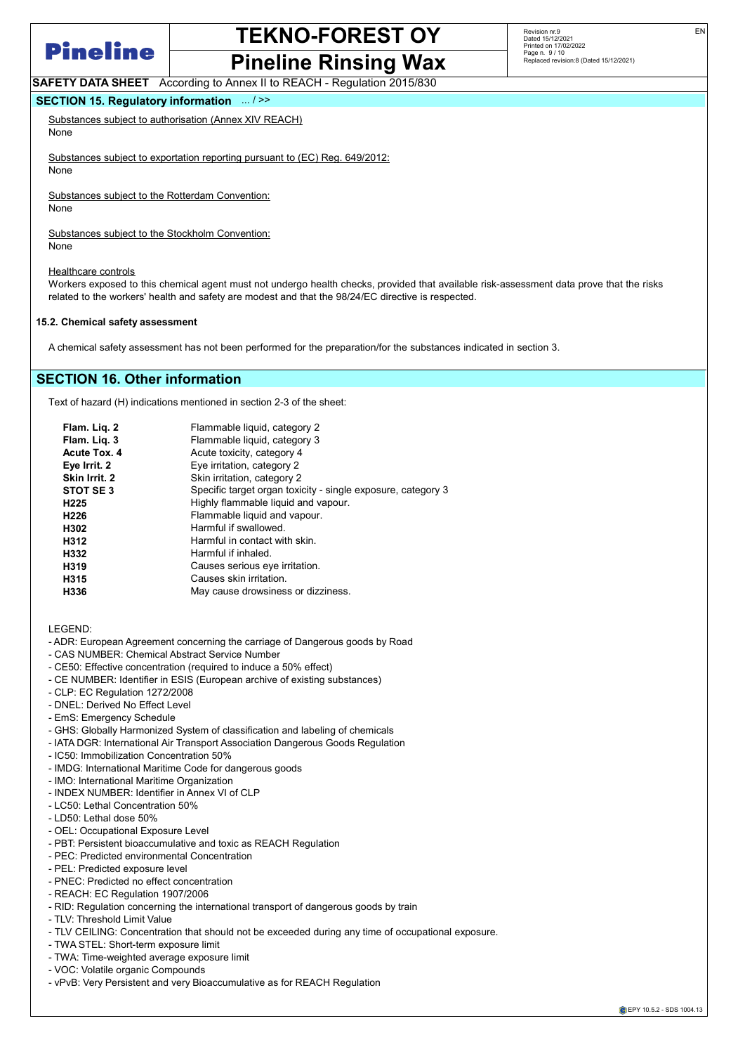

## TEKNO-FOREST OY Pineline Rinsing Wax

EN

SAFETY DATA SHEET According to Annex II to REACH - Regulation 2015/830

## SECTION 15. Regulatory information ... / >>

Substances subject to authorisation (Annex XIV REACH) None

Substances subject to exportation reporting pursuant to (EC) Reg. 649/2012: None

Substances subject to the Rotterdam Convention:

None

Substances subject to the Stockholm Convention: None

Healthcare controls

Workers exposed to this chemical agent must not undergo health checks, provided that available risk-assessment data prove that the risks related to the workers' health and safety are modest and that the 98/24/EC directive is respected.

### 15.2. Chemical safety assessment

A chemical safety assessment has not been performed for the preparation/for the substances indicated in section 3.

## SECTION 16. Other information

Text of hazard (H) indications mentioned in section 2-3 of the sheet:

| Flammable liquid, category 2                                 |
|--------------------------------------------------------------|
| Flammable liquid, category 3                                 |
| Acute toxicity, category 4                                   |
| Eye irritation, category 2                                   |
| Skin irritation, category 2                                  |
| Specific target organ toxicity - single exposure, category 3 |
| Highly flammable liquid and vapour.                          |
| Flammable liquid and vapour.                                 |
| Harmful if swallowed.                                        |
| Harmful in contact with skin.                                |
| Harmful if inhaled.                                          |
| Causes serious eye irritation.                               |
| Causes skin irritation.                                      |
| May cause drowsiness or dizziness.                           |
|                                                              |

LEGEND:

- ADR: European Agreement concerning the carriage of Dangerous goods by Road
- CAS NUMBER: Chemical Abstract Service Number
- CE50: Effective concentration (required to induce a 50% effect)
- CE NUMBER: Identifier in ESIS (European archive of existing substances)
- CLP: EC Regulation 1272/2008
- DNEL: Derived No Effect Level
- EmS: Emergency Schedule
- GHS: Globally Harmonized System of classification and labeling of chemicals
- IATA DGR: International Air Transport Association Dangerous Goods Regulation
- IC50: Immobilization Concentration 50%
- IMDG: International Maritime Code for dangerous goods
- IMO: International Maritime Organization
- INDEX NUMBER: Identifier in Annex VI of CLP
- LC50: Lethal Concentration 50%
- LD50: Lethal dose 50%
- OEL: Occupational Exposure Level
- PBT: Persistent bioaccumulative and toxic as REACH Regulation
- PEC: Predicted environmental Concentration
- PEL: Predicted exposure level
- PNEC: Predicted no effect concentration
- REACH: EC Regulation 1907/2006
- RID: Regulation concerning the international transport of dangerous goods by train
- TLV: Threshold Limit Value
- TLV CEILING: Concentration that should not be exceeded during any time of occupational exposure.
- TWA STEL: Short-term exposure limit
- TWA: Time-weighted average exposure limit
- VOC: Volatile organic Compounds
- vPvB: Very Persistent and very Bioaccumulative as for REACH Regulation